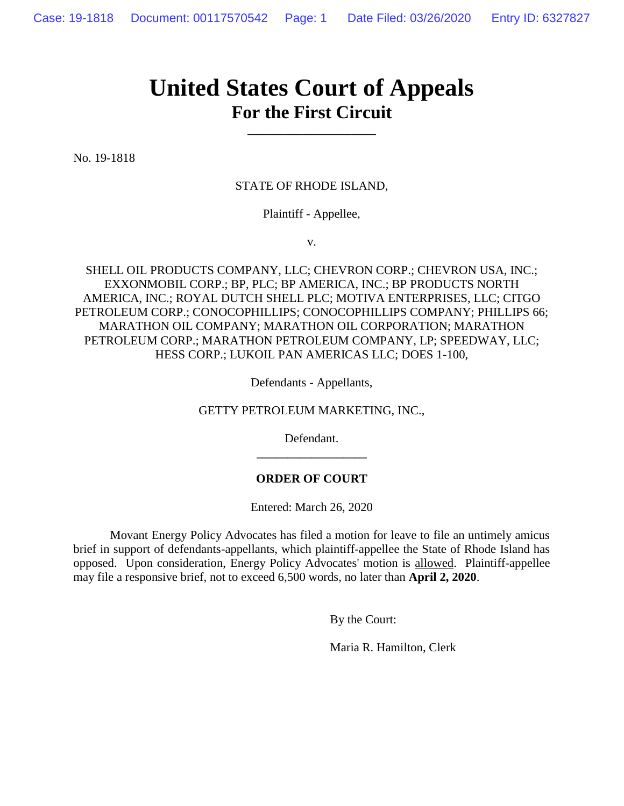## **United States Court of Appeals For the First Circuit**

**\_\_\_\_\_\_\_\_\_\_\_\_\_\_\_\_\_\_\_\_\_**

No. 19-1818

## STATE OF RHODE ISLAND,

Plaintiff - Appellee,

v.

SHELL OIL PRODUCTS COMPANY, LLC; CHEVRON CORP.; CHEVRON USA, INC.; EXXONMOBIL CORP.; BP, PLC; BP AMERICA, INC.; BP PRODUCTS NORTH AMERICA, INC.; ROYAL DUTCH SHELL PLC; MOTIVA ENTERPRISES, LLC; CITGO PETROLEUM CORP.; CONOCOPHILLIPS; CONOCOPHILLIPS COMPANY; PHILLIPS 66; MARATHON OIL COMPANY; MARATHON OIL CORPORATION; MARATHON PETROLEUM CORP.; MARATHON PETROLEUM COMPANY, LP; SPEEDWAY, LLC; HESS CORP.; LUKOIL PAN AMERICAS LLC; DOES 1-100,

Defendants - Appellants,

GETTY PETROLEUM MARKETING, INC.,

Defendant. **\_\_\_\_\_\_\_\_\_\_\_\_\_\_\_\_\_\_**

## **ORDER OF COURT**

Entered: March 26, 2020

Movant Energy Policy Advocates has filed a motion for leave to file an untimely amicus brief in support of defendants-appellants, which plaintiff-appellee the State of Rhode Island has opposed. Upon consideration, Energy Policy Advocates' motion is allowed. Plaintiff-appellee may file a responsive brief, not to exceed 6,500 words, no later than **April 2, 2020**.

By the Court:

Maria R. Hamilton, Clerk